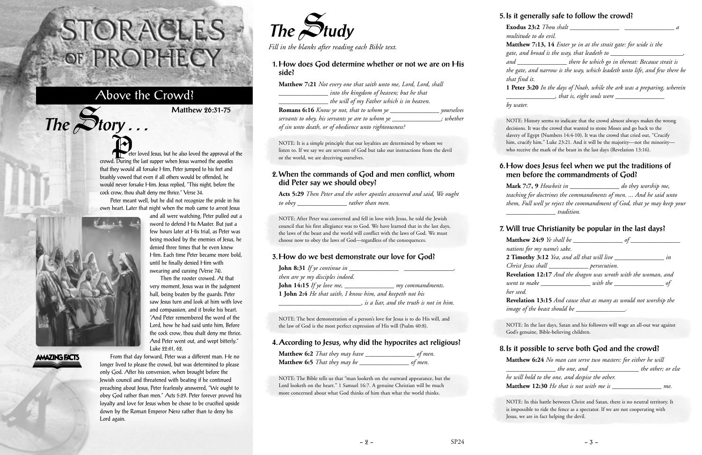Peter meant well, but he did not recognize the pride in his own heart. Later that night when the mob came to arrest Jesus and all were watching, Peter pulled out a

Then the rooster crowed. At that

eter loved Jesus, but he also loved the approval of the crowd. During the last supper when Jesus warned the apostles that they would all forsake Him, Peter jumped to his feet and brashly vowed that even if all others would be offended, he would never forsake Him. Jesus replied, "This night, before the cock crow, thou shalt deny me thrice." Verse 34. P<sub>et</sub>



 $The$  $S$ **tory** ...

# **AMAZING FACTS**

From that day forward, Peter was a different man. He no longer lived to please the crowd, but was determined to please only God. After his conversion, when brought before the Jewish council and threatened with beating if he continued preaching about Jesus, Peter fearlessly answered, "We ought to obey God rather than men." Acts 5:29. Peter forever proved his loyalty and love for Jesus when he chose to be crucified upside down by the Roman Emperor Nero rather than to deny his Lord again.

# STORACLES-OF PROPHECY

# Above the Crowd?

**Matthew 26:31-75**



*Fill in the blanks after reading each Bible text.*

**1. How does God determine whether or not we are on His side?**

**Matthew 7:21** *Not every one that saith unto me, Lord, Lord, shall \_\_\_\_\_\_\_\_\_\_\_\_\_\_\_ into the kingdom of heaven; but he that \_\_\_\_\_\_\_\_\_\_\_\_\_\_\_ the will of my Father which is in heaven.* **Romans 6:16** *Know ye not, that to whom ye \_\_\_\_\_\_\_\_\_\_\_\_\_\_\_ yourselves servants to obey, his servants ye are to whom ye \_\_\_\_\_\_\_\_\_\_\_\_\_\_\_; whether of sin unto death, or of obedience unto righteousness?*

**1 Peter 3:20** *In the days of Noah, while the ark was a preparing, wherein*  $\lambda$ , that is, eight souls were  $\lambda$ 

NOTE: It is a simple principle that our loyalties are determined by whom we listen to. If we say we are servants of God but take our instructions from the devil or the world, we are deceiving ourselves.

#### **2. When the commands of God and men conflict, whom did Peter say we should obey?**

**Acts 5:29** *Then Peter and the other apostles answered and said, We ought to obey \_\_\_\_\_\_\_\_\_\_\_\_\_\_\_ rather than men.*

> **Matthew 24:9** *Ye shall be \_\_\_\_\_\_\_\_\_\_\_\_\_\_\_ of \_\_\_\_\_\_\_\_\_\_\_\_\_\_\_ nations for my name's sake.* **2 Timothy 3:12** *Yea, and all that will live \_\_\_\_\_\_\_\_\_\_\_\_\_\_\_ in Christ Jesus shall \_\_\_\_\_\_\_\_\_\_\_\_ persecution.* **Revelation 12:17** *And the dragon was wroth with the woman, and went to make \_\_\_\_\_\_\_\_\_\_\_\_\_\_\_ with the \_\_\_\_\_\_\_\_\_\_\_\_\_\_\_ of her seed.* **Revelation 13:15** *And cause that as many as would not worship the image of the beast should be \_\_\_\_\_\_\_\_\_\_\_\_\_\_.*

NOTE: After Peter was converted and fell in love with Jesus, he told the Jewish council that his first allegiance was to God. We have learned that in the last days, the laws of the beast and the world will conflict with the laws of God. We must choose now to obey the laws of God—regardless of the consequences.

#### **3. How do we best demonstrate our love for God?**

| <b>John 8:31</b> If ye continue in                        |                                         |
|-----------------------------------------------------------|-----------------------------------------|
| then are ye my disciples indeed.                          |                                         |
| <b>John 14:15</b> If ye love me, $\frac{ }{ }$            | my commandments.                        |
| 1 John 2:4 He that saith, I know him, and keepeth not his |                                         |
|                                                           | is a liar, and the truth is not in him. |

NOTE: The best demonstration of a person's love for Jesus is to do His will, and the law of God is the most perfect expression of His will (Psalm 40:8).

### **4. According to Jesus, why did the hypocrites act religious?**

| <b>Matthew 6:2</b> That they may have | of men. |
|---------------------------------------|---------|
| <b>Matthew 6:5</b> That they may be   | of men. |

NOTE: The Bible tells us that "man looketh on the outward appearance, but the Lord looketh on the heart." 1 Samuel 16:7. A genuine Christian will be much more concerned about what God thinks of him than what the world thinks.

#### **5. Is it generally safe to follow the crowd?**

**Exodus 23:2** *Thou shalt \_\_\_\_\_\_\_\_\_\_\_\_\_\_\_ \_\_\_\_\_\_\_\_\_\_\_\_\_\_\_ a*

*multitude to do evil.*

**Matthew 7:13, 14** *Enter ye in at the strait gate: for wide is the gate, and broad is the way, that leadeth to \_\_\_\_\_\_\_\_\_\_\_\_\_\_\_\_\_\_\_\_\_\_,*

*and \_\_\_\_\_\_\_\_\_\_\_\_\_\_\_ there be which go in thereat: Because strait is the gate, and narrow is the way, which leadeth unto life, and few there be that find it.*

*by water.*

NOTE: History seems to indicate that the crowd almost always makes the wrong decisions. It was the crowd that wanted to stone Moses and go back to the slavery of Egypt (Numbers 14:4-10). It was the crowd that cried out, "Crucify him, crucify him." Luke 23:21. And it will be the majority—not the minority who receive the mark of the beast in the last days (Revelation 13:16).

#### **6. How does Jesus feel when we put the traditions of men before the commandments of God?**

**Mark 7:7, 9** *Howbeit in \_\_\_\_\_\_\_\_\_\_\_\_\_\_\_ do they worship me, teaching for doctrines the commandments of men. ... And he said unto them, Full well ye reject the commandment of God, that ye may keep your \_\_\_\_\_\_\_\_\_\_\_\_\_\_\_ tradition.*

## **7. Will true Christianity be popular in the last days?**

NOTE: In the last days, Satan and his followers will wage an all-out war against God's genuine, Bible-believing children.

# **8. Is it possible to serve both God and the crowd? Matthew 6:24** *No man can serve two masters: for either he will*

*\_\_\_\_\_\_\_\_\_\_\_\_\_\_\_ the one, and \_\_\_\_\_\_\_\_\_\_\_\_\_\_\_ the other; or else he will hold to the one, and despise the other.* **Matthew 12:30** *He that is not with me is \_\_\_\_\_\_\_\_\_\_\_\_\_\_\_ me.*

NOTE: In this battle between Christ and Satan, there is no neutral territory. It is impossible to ride the fence as a spectator. If we are not cooperating with Jesus, we are in fact helping the devil.